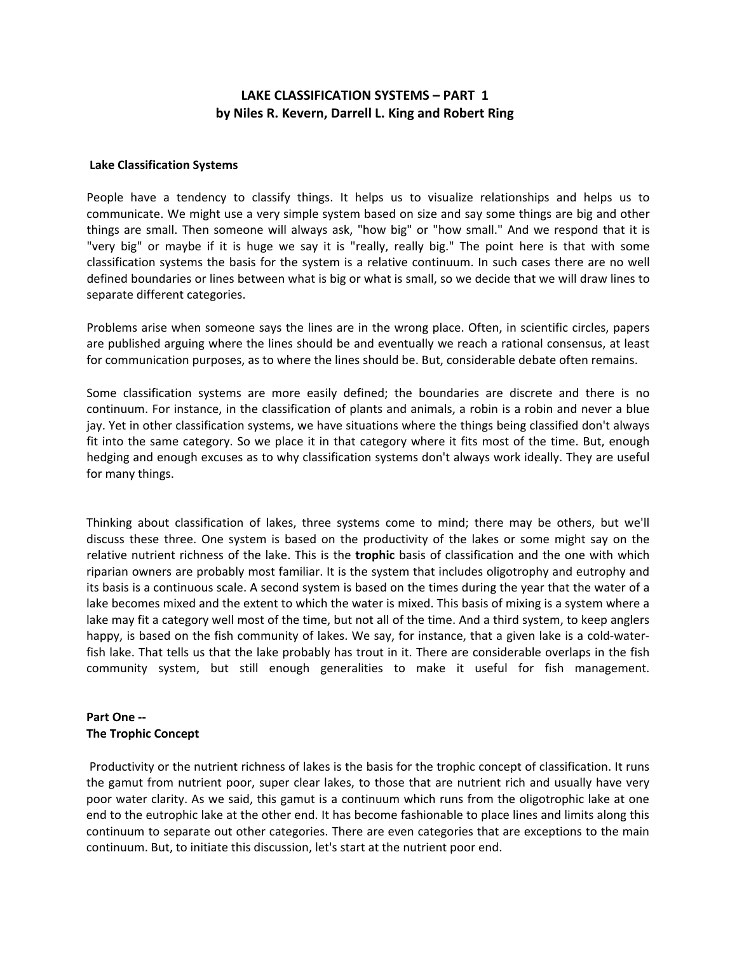# **LAKE CLASSIFICATION SYSTEMS – PART 1 by Niles R. Kevern, Darrell L. King and Robert Ring**

#### **Lake Classification Systems**

People have a tendency to classify things. It helps us to visualize relationships and helps us to communicate. We might use a very simple system based on size and say some things are big and other things are small. Then someone will always ask, "how big" or "how small." And we respond that it is "very big" or maybe if it is huge we say it is "really, really big." The point here is that with some classification systems the basis for the system is a relative continuum. In such cases there are no well defined boundaries or lines between what is big or what is small, so we decide that we will draw lines to separate different categories.

Problems arise when someone says the lines are in the wrong place. Often, in scientific circles, papers are published arguing where the lines should be and eventually we reach a rational consensus, at least for communication purposes, as to where the lines should be. But, considerable debate often remains.

Some classification systems are more easily defined; the boundaries are discrete and there is no continuum. For instance, in the classification of plants and animals, a robin is a robin and never a blue jay. Yet in other classification systems, we have situations where the things being classified don't always fit into the same category. So we place it in that category where it fits most of the time. But, enough hedging and enough excuses as to why classification systems don't always work ideally. They are useful for many things.

Thinking about classification of lakes, three systems come to mind; there may be others, but we'll discuss these three. One system is based on the productivity of the lakes or some might say on the relative nutrient richness of the lake. This is the **trophic** basis of classification and the one with which riparian owners are probably most familiar. It is the system that includes oligotrophy and eutrophy and its basis is a continuous scale. A second system is based on the times during the year that the water of a lake becomes mixed and the extent to which the water is mixed. This basis of mixing is a system where a lake may fit a category well most of the time, but not all of the time. And a third system, to keep anglers happy, is based on the fish community of lakes. We say, for instance, that a given lake is a cold-waterfish lake. That tells us that the lake probably has trout in it. There are considerable overlaps in the fish community system, but still enough generalities to make it useful for fish management.

## **Part One ‐‐ The Trophic Concept**

Productivity or the nutrient richness of lakes is the basis for the trophic concept of classification. It runs the gamut from nutrient poor, super clear lakes, to those that are nutrient rich and usually have very poor water clarity. As we said, this gamut is a continuum which runs from the oligotrophic lake at one end to the eutrophic lake at the other end. It has become fashionable to place lines and limits along this continuum to separate out other categories. There are even categories that are exceptions to the main continuum. But, to initiate this discussion, let's start at the nutrient poor end.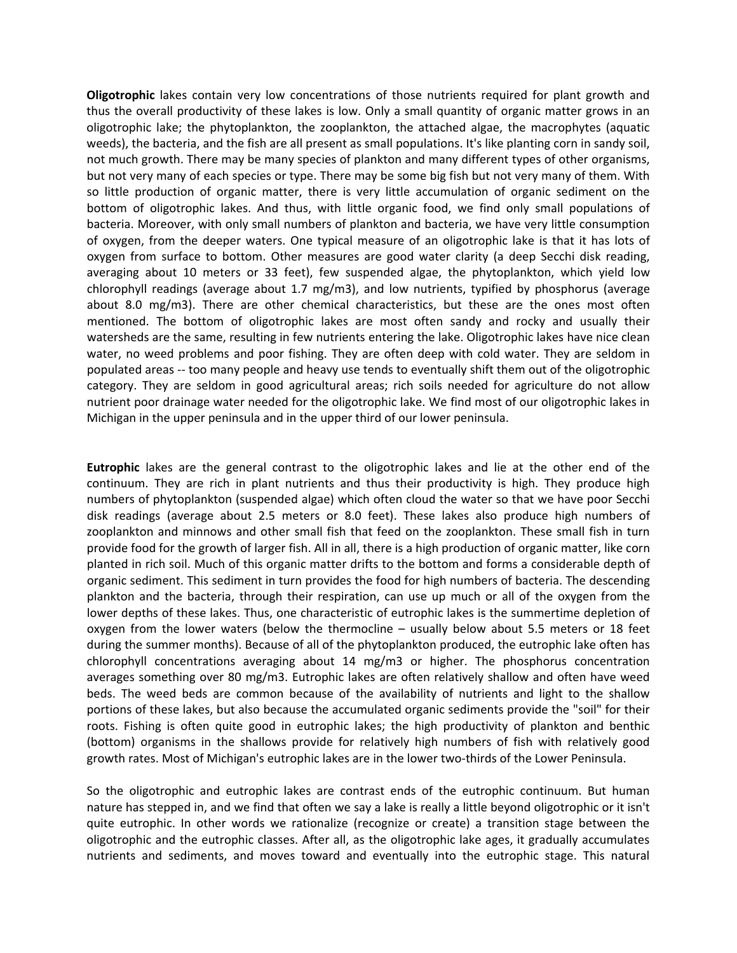**Oligotrophic** lakes contain very low concentrations of those nutrients required for plant growth and thus the overall productivity of these lakes is low. Only a small quantity of organic matter grows in an oligotrophic lake; the phytoplankton, the zooplankton, the attached algae, the macrophytes (aquatic weeds), the bacteria, and the fish are all present as small populations. It's like planting corn in sandy soil, not much growth. There may be many species of plankton and many different types of other organisms, but not very many of each species or type. There may be some big fish but not very many of them. With so little production of organic matter, there is very little accumulation of organic sediment on the bottom of oligotrophic lakes. And thus, with little organic food, we find only small populations of bacteria. Moreover, with only small numbers of plankton and bacteria, we have very little consumption of oxygen, from the deeper waters. One typical measure of an oligotrophic lake is that it has lots of oxygen from surface to bottom. Other measures are good water clarity (a deep Secchi disk reading, averaging about 10 meters or 33 feet), few suspended algae, the phytoplankton, which yield low chlorophyll readings (average about 1.7 mg/m3), and low nutrients, typified by phosphorus (average about 8.0 mg/m3). There are other chemical characteristics, but these are the ones most often mentioned. The bottom of oligotrophic lakes are most often sandy and rocky and usually their watersheds are the same, resulting in few nutrients entering the lake. Oligotrophic lakes have nice clean water, no weed problems and poor fishing. They are often deep with cold water. They are seldom in populated areas ‐‐ too many people and heavy use tends to eventually shift them out of the oligotrophic category. They are seldom in good agricultural areas; rich soils needed for agriculture do not allow nutrient poor drainage water needed for the oligotrophic lake. We find most of our oligotrophic lakes in Michigan in the upper peninsula and in the upper third of our lower peninsula.

**Eutrophic** lakes are the general contrast to the oligotrophic lakes and lie at the other end of the continuum. They are rich in plant nutrients and thus their productivity is high. They produce high numbers of phytoplankton (suspended algae) which often cloud the water so that we have poor Secchi disk readings (average about 2.5 meters or 8.0 feet). These lakes also produce high numbers of zooplankton and minnows and other small fish that feed on the zooplankton. These small fish in turn provide food for the growth of larger fish. All in all, there is a high production of organic matter, like corn planted in rich soil. Much of this organic matter drifts to the bottom and forms a considerable depth of organic sediment. This sediment in turn provides the food for high numbers of bacteria. The descending plankton and the bacteria, through their respiration, can use up much or all of the oxygen from the lower depths of these lakes. Thus, one characteristic of eutrophic lakes is the summertime depletion of oxygen from the lower waters (below the thermocline – usually below about 5.5 meters or 18 feet during the summer months). Because of all of the phytoplankton produced, the eutrophic lake often has chlorophyll concentrations averaging about 14 mg/m3 or higher. The phosphorus concentration averages something over 80 mg/m3. Eutrophic lakes are often relatively shallow and often have weed beds. The weed beds are common because of the availability of nutrients and light to the shallow portions of these lakes, but also because the accumulated organic sediments provide the "soil" for their roots. Fishing is often quite good in eutrophic lakes; the high productivity of plankton and benthic (bottom) organisms in the shallows provide for relatively high numbers of fish with relatively good growth rates. Most of Michigan's eutrophic lakes are in the lower two-thirds of the Lower Peninsula.

So the oligotrophic and eutrophic lakes are contrast ends of the eutrophic continuum. But human nature has stepped in, and we find that often we say a lake is really a little beyond oligotrophic or it isn't quite eutrophic. In other words we rationalize (recognize or create) a transition stage between the oligotrophic and the eutrophic classes. After all, as the oligotrophic lake ages, it gradually accumulates nutrients and sediments, and moves toward and eventually into the eutrophic stage. This natural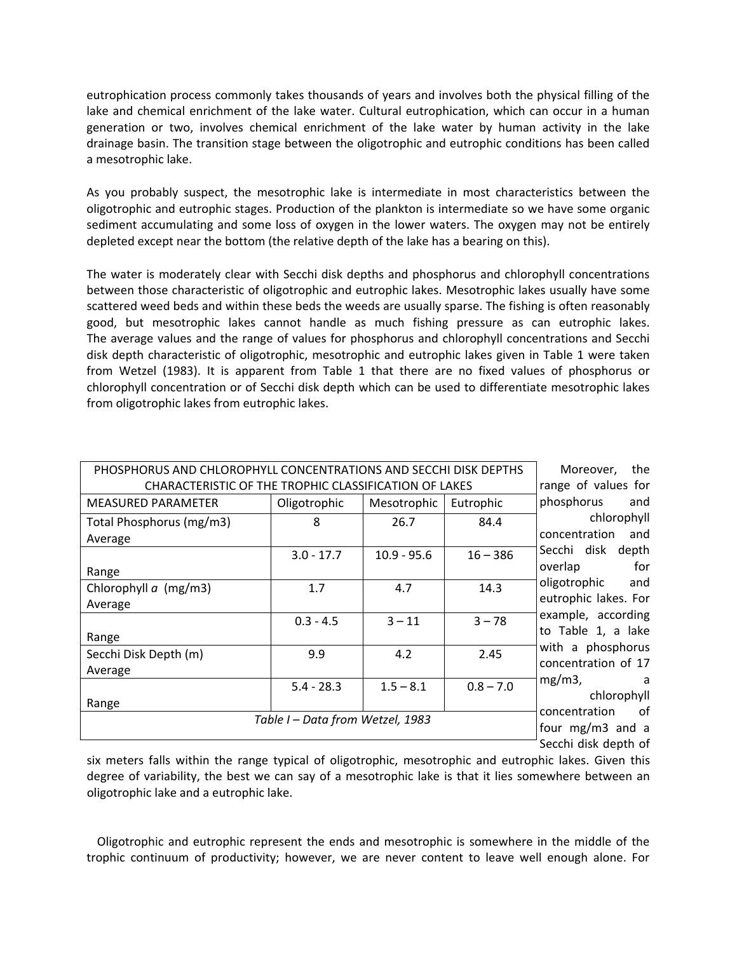eutrophication process commonly takes thousands of years and involves both the physical filling of the lake and chemical enrichment of the lake water. Cultural eutrophication, which can occur in a human generation or two, involves chemical enrichment of the lake water by human activity in the lake drainage basin. The transition stage between the oligotrophic and eutrophic conditions has been called a mesotrophic lake.

As you probably suspect, the mesotrophic lake is intermediate in most characteristics between the oligotrophic and eutrophic stages. Production of the plankton is intermediate so we have some organic sediment accumulating and some loss of oxygen in the lower waters. The oxygen may not be entirely depleted except near the bottom (the relative depth of the lake has a bearing on this).

The water is moderately clear with Secchi disk depths and phosphorus and chlorophyll concentrations between those characteristic of oligotrophic and eutrophic lakes. Mesotrophic lakes usually have some scattered weed beds and within these beds the weeds are usually sparse. The fishing is often reasonably good, but mesotrophic lakes cannot handle as much fishing pressure as can eutrophic lakes. The average values and the range of values for phosphorus and chlorophyll concentrations and Secchi disk depth characteristic of oligotrophic, mesotrophic and eutrophic lakes given in Table 1 were taken from Wetzel (1983). It is apparent from Table 1 that there are no fixed values of phosphorus or chlorophyll concentration or of Secchi disk depth which can be used to differentiate mesotrophic lakes from oligotrophic lakes from eutrophic lakes.

| PHOSPHORUS AND CHLOROPHYLL CONCENTRATIONS AND SECCHI DISK DEPTHS |              |               |             | the<br>Moreover,                  |
|------------------------------------------------------------------|--------------|---------------|-------------|-----------------------------------|
| CHARACTERISTIC OF THE TROPHIC CLASSIFICATION OF LAKES            |              |               |             | range of values for               |
| <b>MEASURED PARAMETER</b>                                        | Oligotrophic | Mesotrophic   | Eutrophic   | phosphorus<br>and                 |
| Total Phosphorus (mg/m3)                                         | 8            | 26.7          | 84.4        | chlorophyll                       |
| Average                                                          |              |               |             | concentration<br>and              |
|                                                                  | $3.0 - 17.7$ | $10.9 - 95.6$ | $16 - 386$  | Secchi disk depth                 |
| Range                                                            |              |               |             | for<br>overlap                    |
| Chlorophyll $a$ (mg/m3)                                          | 1.7          | 4.7           | 14.3        | oligotrophic<br>and               |
| Average                                                          |              |               |             | eutrophic lakes. For              |
|                                                                  | $0.3 - 4.5$  | $3 - 11$      | $3 - 78$    | example, according                |
| Range                                                            |              |               |             | to Table 1, a lake                |
| Secchi Disk Depth (m)                                            | 9.9          | 4.2           | 2.45        | with a phosphorus                 |
| Average                                                          |              |               |             | concentration of 17               |
|                                                                  | $5.4 - 28.3$ | $1.5 - 8.1$   | $0.8 - 7.0$ | $mg/m3$ ,<br>a                    |
| Range                                                            |              |               |             | chlorophyll<br>of                 |
| Table I - Data from Wetzel, 1983                                 |              |               |             | concentration<br>four mg/m3 and a |
|                                                                  |              |               |             | Secchi disk depth of              |
|                                                                  |              |               |             |                                   |

six meters falls within the range typical of oligotrophic, mesotrophic and eutrophic lakes. Given this degree of variability, the best we can say of a mesotrophic lake is that it lies somewhere between an oligotrophic lake and a eutrophic lake.

 Oligotrophic and eutrophic represent the ends and mesotrophic is somewhere in the middle of the trophic continuum of productivity; however, we are never content to leave well enough alone. For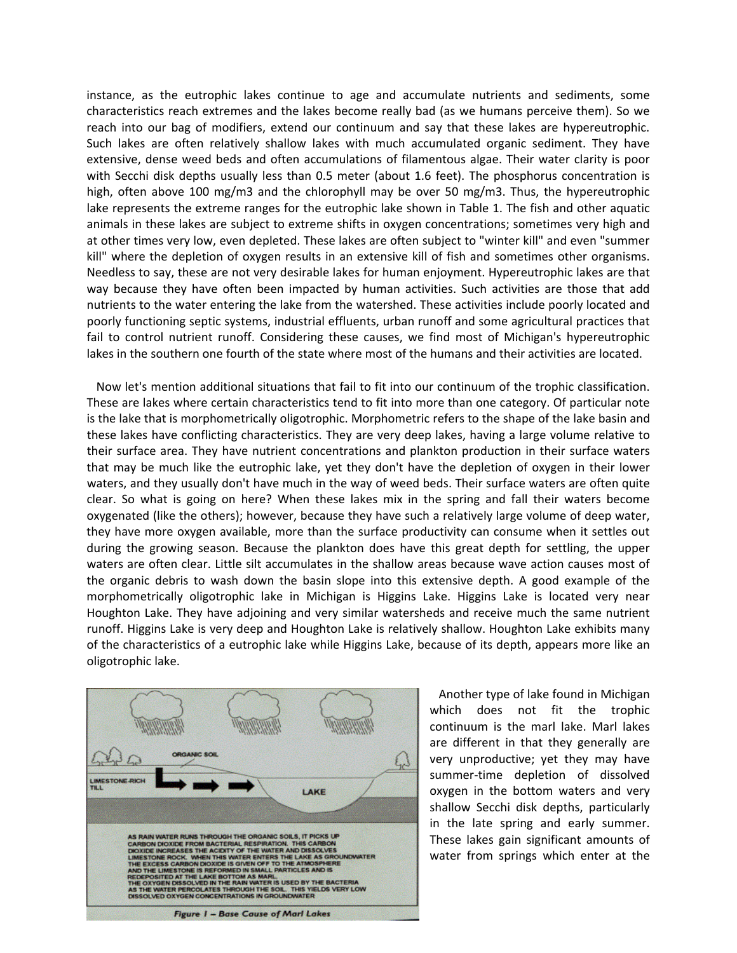instance, as the eutrophic lakes continue to age and accumulate nutrients and sediments, some characteristics reach extremes and the lakes become really bad (as we humans perceive them). So we reach into our bag of modifiers, extend our continuum and say that these lakes are hypereutrophic. Such lakes are often relatively shallow lakes with much accumulated organic sediment. They have extensive, dense weed beds and often accumulations of filamentous algae. Their water clarity is poor with Secchi disk depths usually less than 0.5 meter (about 1.6 feet). The phosphorus concentration is high, often above 100 mg/m3 and the chlorophyll may be over 50 mg/m3. Thus, the hypereutrophic lake represents the extreme ranges for the eutrophic lake shown in Table 1. The fish and other aquatic animals in these lakes are subject to extreme shifts in oxygen concentrations; sometimes very high and at other times very low, even depleted. These lakes are often subject to "winter kill" and even "summer kill" where the depletion of oxygen results in an extensive kill of fish and sometimes other organisms. Needless to say, these are not very desirable lakes for human enjoyment. Hypereutrophic lakes are that way because they have often been impacted by human activities. Such activities are those that add nutrients to the water entering the lake from the watershed. These activities include poorly located and poorly functioning septic systems, industrial effluents, urban runoff and some agricultural practices that fail to control nutrient runoff. Considering these causes, we find most of Michigan's hypereutrophic lakes in the southern one fourth of the state where most of the humans and their activities are located.

 Now let's mention additional situations that fail to fit into our continuum of the trophic classification. These are lakes where certain characteristics tend to fit into more than one category. Of particular note is the lake that is morphometrically oligotrophic. Morphometric refers to the shape of the lake basin and these lakes have conflicting characteristics. They are very deep lakes, having a large volume relative to their surface area. They have nutrient concentrations and plankton production in their surface waters that may be much like the eutrophic lake, yet they don't have the depletion of oxygen in their lower waters, and they usually don't have much in the way of weed beds. Their surface waters are often quite clear. So what is going on here? When these lakes mix in the spring and fall their waters become oxygenated (like the others); however, because they have such a relatively large volume of deep water, they have more oxygen available, more than the surface productivity can consume when it settles out during the growing season. Because the plankton does have this great depth for settling, the upper waters are often clear. Little silt accumulates in the shallow areas because wave action causes most of the organic debris to wash down the basin slope into this extensive depth. A good example of the morphometrically oligotrophic lake in Michigan is Higgins Lake. Higgins Lake is located very near Houghton Lake. They have adjoining and very similar watersheds and receive much the same nutrient runoff. Higgins Lake is very deep and Houghton Lake is relatively shallow. Houghton Lake exhibits many of the characteristics of a eutrophic lake while Higgins Lake, because of its depth, appears more like an oligotrophic lake.



 Another type of lake found in Michigan which does not fit the trophic continuum is the marl lake. Marl lakes are different in that they generally are very unproductive; yet they may have summer-time depletion of dissolved oxygen in the bottom waters and very shallow Secchi disk depths, particularly in the late spring and early summer. These lakes gain significant amounts of water from springs which enter at the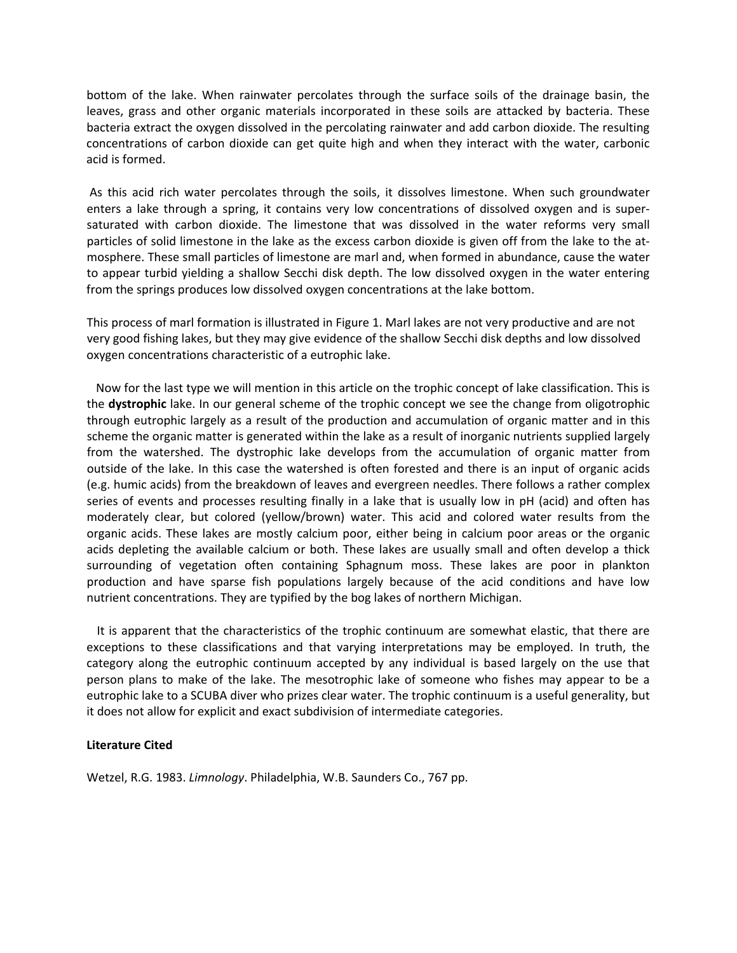bottom of the lake. When rainwater percolates through the surface soils of the drainage basin, the leaves, grass and other organic materials incorporated in these soils are attacked by bacteria. These bacteria extract the oxygen dissolved in the percolating rainwater and add carbon dioxide. The resulting concentrations of carbon dioxide can get quite high and when they interact with the water, carbonic acid is formed.

to appear turbid yielding a shallow Secchi disk depth. The low dissolved oxygen in the water entering from the springs produces low dissolved oxygen concentrations at the lake bottom. As this acid rich water percolates through the soils, it dissolves limestone. When such groundwater enters a lake through a spring, it contains very low concentrations of dissolved oxygen and is super‐ saturated with carbon dioxide. The limestone that was dissolved in the water reforms very small particles of solid limestone in the lake as the excess carbon dioxide is given off from the lake to the at‐ mosphere. These small particles of limestone are marl and, when formed in abundance, cause the water

very good fishing lakes, but they may give evidence of the shallow Secchi disk depths and low dissolved oxygen concentrations characteristic of a eutrophic lake. This process of marl formation is illustrated in Figure 1. Marl lakes are not very productive and are not

production and have sparse fish populations largely because of the acid conditions and have low nutrient concentrations. They are typified by the bog lakes of northern Michigan. Now for the last type we will mention in this article on the trophic concept of lake classification. This is the **dystrophic** lake. In our general scheme of the trophic concept we see the change from oligotrophic through eutrophic largely as a result of the production and accumulation of organic matter and in this scheme the organic matter is generated within the lake as a result of inorganic nutrients supplied largely from the watershed. The dystrophic lake develops from the accumulation of organic matter from outside of the lake. In this case the watershed is often forested and there is an input of organic acids (e.g. humic acids) from the breakdown of leaves and evergreen needles. There follows a rather complex series of events and processes resulting finally in a lake that is usually low in pH (acid) and often has moderately clear, but colored (yellow/brown) water. This acid and colored water results from the organic acids. These lakes are mostly calcium poor, either being in calcium poor areas or the organic acids depleting the available calcium or both. These lakes are usually small and often develop a thick surrounding of vegetation often containing Sphagnum moss. These lakes are poor in plankton

eutrophic lake to a SCUBA diver who prizes clear water. The trophic continuum is a useful generality, but it does not allow for explicit and exact subdivision of intermediate categories. It is apparent that the characteristics of the trophic continuum are somewhat elastic, that there are exceptions to these classifications and that varying interpretations may be employed. In truth, the category along the eutrophic continuum accepted by any individual is based largely on the use that person plans to make of the lake. The mesotrophic lake of someone who fishes may appear to be a

#### **Literature Cited**

Wetzel, R.G. 1983. *Limnology*. Philadelphia, W.B. Saunders Co., 767 pp.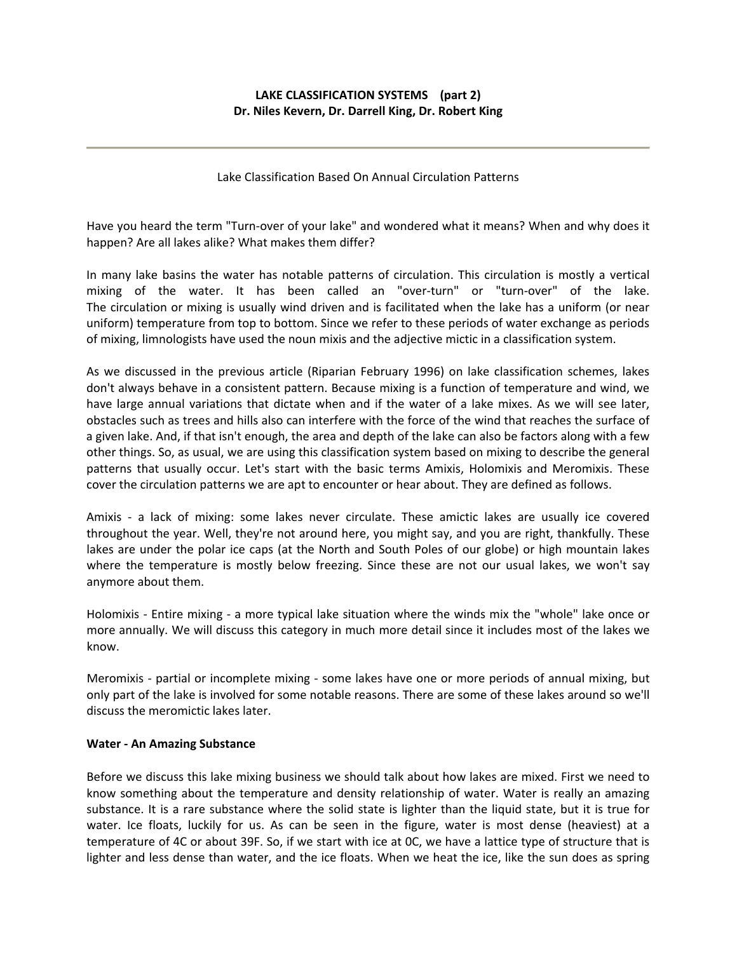## **LAKE CLASSIFICATION SYSTEMS (part 2) Dr. Niles Kevern, Dr. Darrell King, Dr. Robert King**

Lake Classification Based On Annual Circulation Patterns

Have you heard the term "Turn‐over of your lake" and wondered what it means? When and why does it happen? Are all lakes alike? What makes them differ?

In many lake basins the water has notable patterns of circulation. This circulation is mostly a vertical mixing of the water. It has been called an "over-turn" or "turn-over" of the lake. The circulation or mixing is usually wind driven and is facilitated when the lake has a uniform (or near uniform) temperature from top to bottom. Since we refer to these periods of water exchange as periods of mixing, limnologists have used the noun mixis and the adjective mictic in a classification system.

As we discussed in the previous article (Riparian February 1996) on lake classification schemes, lakes don't always behave in a consistent pattern. Because mixing is a function of temperature and wind, we have large annual variations that dictate when and if the water of a lake mixes. As we will see later, obstacles such as trees and hills also can interfere with the force of the wind that reaches the surface of a given lake. And, if that isn't enough, the area and depth of the lake can also be factors along with a few other things. So, as usual, we are using this classification system based on mixing to describe the general patterns that usually occur. Let's start with the basic terms Amixis, Holomixis and Meromixis. These cover the circulation patterns we are apt to encounter or hear about. They are defined as follows.

Amixis - a lack of mixing: some lakes never circulate. These amictic lakes are usually ice covered throughout the year. Well, they're not around here, you might say, and you are right, thankfully. These lakes are under the polar ice caps (at the North and South Poles of our globe) or high mountain lakes where the temperature is mostly below freezing. Since these are not our usual lakes, we won't say anymore about them.

Holomixis ‐ Entire mixing ‐ a more typical lake situation where the winds mix the "whole" lake once or more annually. We will discuss this category in much more detail since it includes most of the lakes we know.

Meromixis ‐ partial or incomplete mixing ‐ some lakes have one or more periods of annual mixing, but only part of the lake is involved for some notable reasons. There are some of these lakes around so we'll discuss the meromictic lakes later.

#### **Water ‐ An Amazing Substance**

Before we discuss this lake mixing business we should talk about how lakes are mixed. First we need to know something about the temperature and density relationship of water. Water is really an amazing substance. It is a rare substance where the solid state is lighter than the liquid state, but it is true for water. Ice floats, luckily for us. As can be seen in the figure, water is most dense (heaviest) at a temperature of 4C or about 39F. So, if we start with ice at 0C, we have a lattice type of structure that is lighter and less dense than water, and the ice floats. When we heat the ice, like the sun does as spring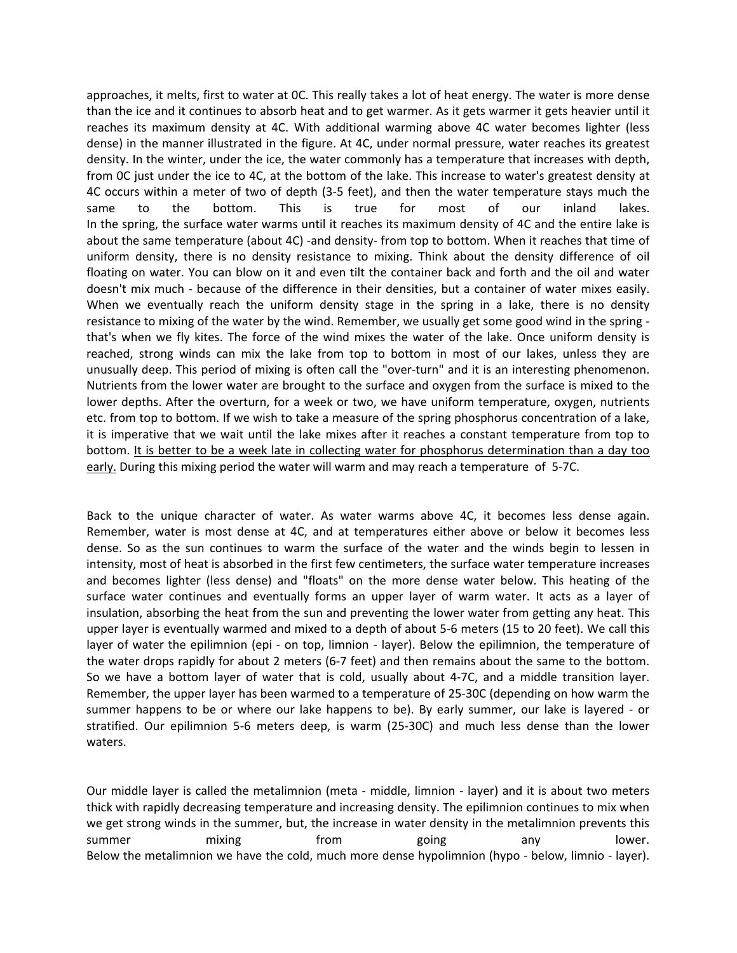approaches, it melts, first to water at 0C. This really takes a lot of heat energy. The water is more dense than the ice and it continues to absorb heat and to get warmer. As it gets warmer it gets heavier until it reaches its maximum density at 4C. With additional warming above 4C water becomes lighter (less dense) in the manner illustrated in the figure. At 4C, under normal pressure, water reaches its greatest density. In the winter, under the ice, the water commonly has a temperature that increases with depth, from 0C just under the ice to 4C, at the bottom of the lake. This increase to water's greatest density at 4C occurs within a meter of two of depth (3‐5 feet), and then the water temperature stays much the same to the bottom. This is true for most of our inland lakes. In the spring, the surface water warms until it reaches its maximum density of 4C and the entire lake is about the same temperature (about 4C) -and density- from top to bottom. When it reaches that time of uniform density, there is no density resistance to mixing. Think about the density difference of oil floating on water. You can blow on it and even tilt the container back and forth and the oil and water doesn't mix much ‐ because of the difference in their densities, but a container of water mixes easily. When we eventually reach the uniform density stage in the spring in a lake, there is no density resistance to mixing of the water by the wind. Remember, we usually get some good wind in the spring ‐ that's when we fly kites. The force of the wind mixes the water of the lake. Once uniform density is reached, strong winds can mix the lake from top to bottom in most of our lakes, unless they are unusually deep. This period of mixing is often call the "over-turn" and it is an interesting phenomenon. Nutrients from the lower water are brought to the surface and oxygen from the surface is mixed to the lower depths. After the overturn, for a week or two, we have uniform temperature, oxygen, nutrients etc. from top to bottom. If we wish to take a measure of the spring phosphorus concentration of a lake, it is imperative that we wait until the lake mixes after it reaches a constant temperature from top to bottom. It is better to be a week late in collecting water for phosphorus determination than a day too early. During this mixing period the water will warm and may reach a temperature of 5‐7C.

Back to the unique character of water. As water warms above 4C, it becomes less dense again. Remember, water is most dense at 4C, and at temperatures either above or below it becomes less dense. So as the sun continues to warm the surface of the water and the winds begin to lessen in intensity, most of heat is absorbed in the first few centimeters, the surface water temperature increases and becomes lighter (less dense) and "floats" on the more dense water below. This heating of the surface water continues and eventually forms an upper layer of warm water. It acts as a layer of insulation, absorbing the heat from the sun and preventing the lower water from getting any heat. This upper layer is eventually warmed and mixed to a depth of about 5‐6 meters (15 to 20 feet). We call this layer of water the epilimnion (epi - on top, limnion - layer). Below the epilimnion, the temperature of the water drops rapidly for about 2 meters (6‐7 feet) and then remains about the same to the bottom. So we have a bottom layer of water that is cold, usually about 4‐7C, and a middle transition layer. Remember, the upper layer has been warmed to a temperature of 25‐30C (depending on how warm the summer happens to be or where our lake happens to be). By early summer, our lake is layered - or stratified. Our epilimnion 5‐6 meters deep, is warm (25‐30C) and much less dense than the lower waters.

Our middle layer is called the metalimnion (meta ‐ middle, limnion ‐ layer) and it is about two meters thick with rapidly decreasing temperature and increasing density. The epilimnion continues to mix when we get strong winds in the summer, but, the increase in water density in the metalimnion prevents this summer mixing from going any lower. Below the metalimnion we have the cold, much more dense hypolimnion (hypo - below, limnio - layer).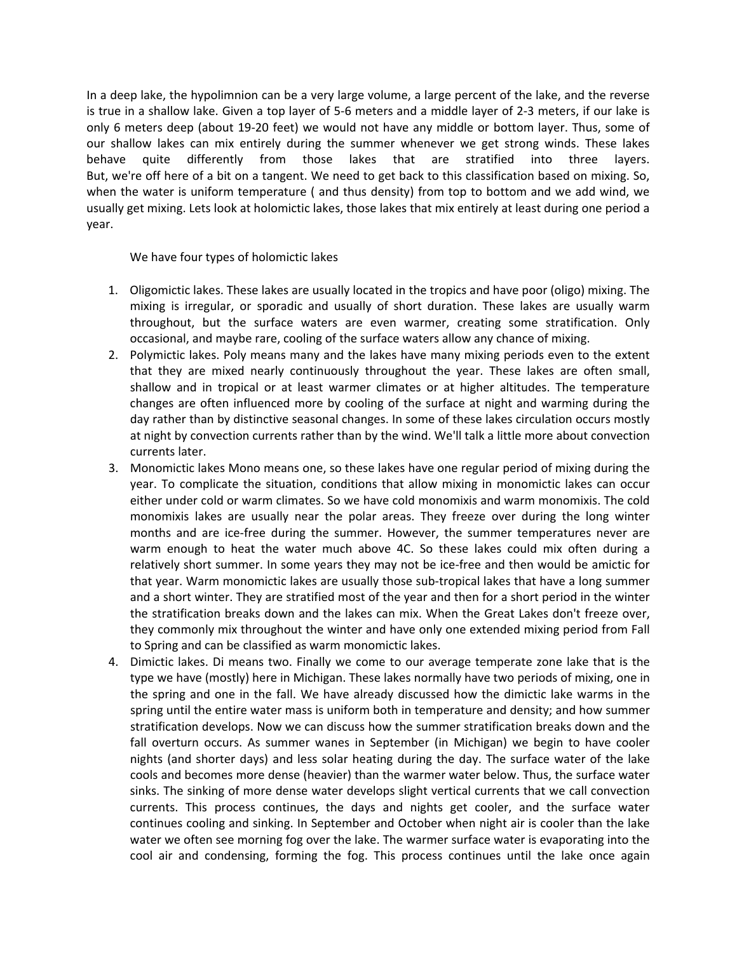In a deep lake, the hypolimnion can be a very large volume, a large percent of the lake, and the reverse is true in a shallow lake. Given a top layer of 5‐6 meters and a middle layer of 2‐3 meters, if our lake is only 6 meters deep (about 19‐20 feet) we would not have any middle or bottom layer. Thus, some of our shallow lakes can mix entirely during the summer whenever we get strong winds. These lakes behave quite differently from those lakes that are stratified into three layers. But, we're off here of a bit on a tangent. We need to get back to this classification based on mixing. So, when the water is uniform temperature ( and thus density) from top to bottom and we add wind, we usually get mixing. Lets look at holomictic lakes, those lakes that mix entirely at least during one period a year.

We have four types of holomictic lakes

- 1. Oligomictic lakes. These lakes are usually located in the tropics and have poor (oligo) mixing. The mixing is irregular, or sporadic and usually of short duration. These lakes are usually warm throughout, but the surface waters are even warmer, creating some stratification. Only occasional, and maybe rare, cooling of the surface waters allow any chance of mixing.
- 2. Polymictic lakes. Poly means many and the lakes have many mixing periods even to the extent that they are mixed nearly continuously throughout the year. These lakes are often small, shallow and in tropical or at least warmer climates or at higher altitudes. The temperature changes are often influenced more by cooling of the surface at night and warming during the day rather than by distinctive seasonal changes. In some of these lakes circulation occurs mostly at night by convection currents rather than by the wind. We'll talk a little more about convection currents later.
- 3. Monomictic lakes Mono means one, so these lakes have one regular period of mixing during the year. To complicate the situation, conditions that allow mixing in monomictic lakes can occur either under cold or warm climates. So we have cold monomixis and warm monomixis. The cold monomixis lakes are usually near the polar areas. They freeze over during the long winter months and are ice-free during the summer. However, the summer temperatures never are warm enough to heat the water much above 4C. So these lakes could mix often during a relatively short summer. In some years they may not be ice-free and then would be amictic for that year. Warm monomictic lakes are usually those sub‐tropical lakes that have a long summer and a short winter. They are stratified most of the year and then for a short period in the winter the stratification breaks down and the lakes can mix. When the Great Lakes don't freeze over, they commonly mix throughout the winter and have only one extended mixing period from Fall to Spring and can be classified as warm monomictic lakes.
- 4. Dimictic lakes. Di means two. Finally we come to our average temperate zone lake that is the type we have (mostly) here in Michigan. These lakes normally have two periods of mixing, one in the spring and one in the fall. We have already discussed how the dimictic lake warms in the spring until the entire water mass is uniform both in temperature and density; and how summer stratification develops. Now we can discuss how the summer stratification breaks down and the fall overturn occurs. As summer wanes in September (in Michigan) we begin to have cooler nights (and shorter days) and less solar heating during the day. The surface water of the lake cools and becomes more dense (heavier) than the warmer water below. Thus, the surface water sinks. The sinking of more dense water develops slight vertical currents that we call convection currents. This process continues, the days and nights get cooler, and the surface water continues cooling and sinking. In September and October when night air is cooler than the lake water we often see morning fog over the lake. The warmer surface water is evaporating into the cool air and condensing, forming the fog. This process continues until the lake once again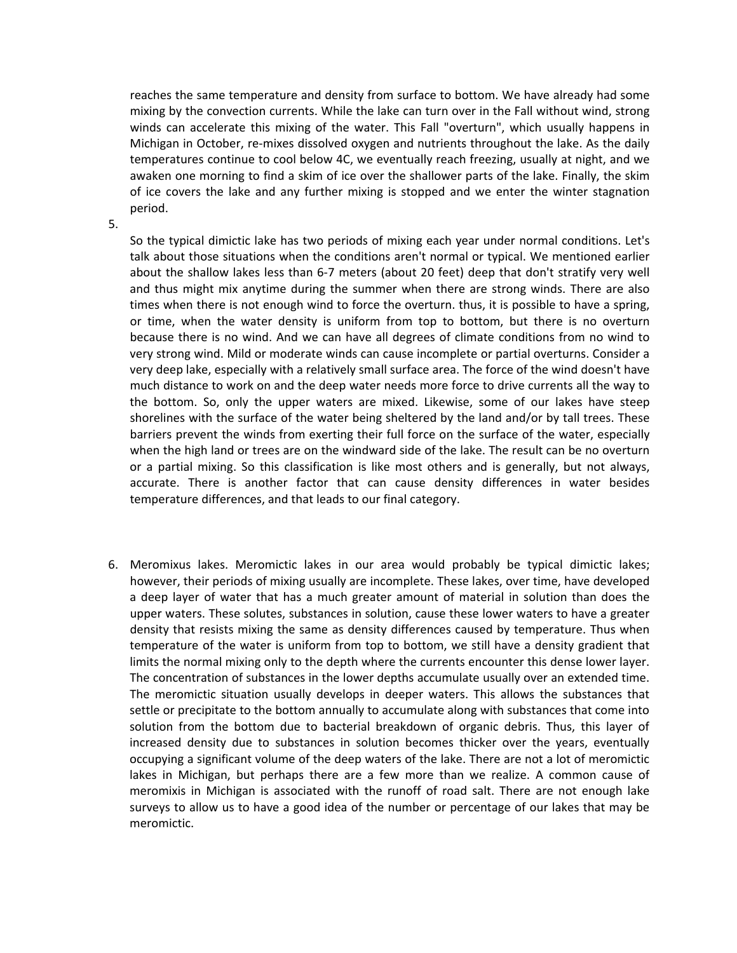reaches the same temperature and density from surface to bottom. We have already had some mixing by the convection currents. While the lake can turn over in the Fall without wind, strong winds can accelerate this mixing of the water. This Fall "overturn", which usually happens in Michigan in October, re‐mixes dissolved oxygen and nutrients throughout the lake. As the daily temperatures continue to cool below 4C, we eventually reach freezing, usually at night, and we awaken one morning to find a skim of ice over the shallower parts of the lake. Finally, the skim of ice covers the lake and any further mixing is stopped and we enter the winter stagnation period.

5.

So the typical dimictic lake has two periods of mixing each year under normal conditions. Let's talk about those situations when the conditions aren't normal or typical. We mentioned earlier about the shallow lakes less than 6‐7 meters (about 20 feet) deep that don't stratify very well and thus might mix anytime during the summer when there are strong winds. There are also times when there is not enough wind to force the overturn. thus, it is possible to have a spring, or time, when the water density is uniform from top to bottom, but there is no overturn because there is no wind. And we can have all degrees of climate conditions from no wind to very strong wind. Mild or moderate winds can cause incomplete or partial overturns. Consider a very deep lake, especially with a relatively small surface area. The force of the wind doesn't have much distance to work on and the deep water needs more force to drive currents all the way to the bottom. So, only the upper waters are mixed. Likewise, some of our lakes have steep shorelines with the surface of the water being sheltered by the land and/or by tall trees. These barriers prevent the winds from exerting their full force on the surface of the water, especially when the high land or trees are on the windward side of the lake. The result can be no overturn or a partial mixing. So this classification is like most others and is generally, but not always, accurate. There is another factor that can cause density differences in water besides temperature differences, and that leads to our final category.

6. Meromixus lakes. Meromictic lakes in our area would probably be typical dimictic lakes; however, their periods of mixing usually are incomplete. These lakes, over time, have developed a deep layer of water that has a much greater amount of material in solution than does the upper waters. These solutes, substances in solution, cause these lower waters to have a greater density that resists mixing the same as density differences caused by temperature. Thus when temperature of the water is uniform from top to bottom, we still have a density gradient that limits the normal mixing only to the depth where the currents encounter this dense lower layer. The concentration of substances in the lower depths accumulate usually over an extended time. The meromictic situation usually develops in deeper waters. This allows the substances that settle or precipitate to the bottom annually to accumulate along with substances that come into solution from the bottom due to bacterial breakdown of organic debris. Thus, this layer of increased density due to substances in solution becomes thicker over the years, eventually occupying a significant volume of the deep waters of the lake. There are not a lot of meromictic lakes in Michigan, but perhaps there are a few more than we realize. A common cause of meromixis in Michigan is associated with the runoff of road salt. There are not enough lake surveys to allow us to have a good idea of the number or percentage of our lakes that may be meromictic.